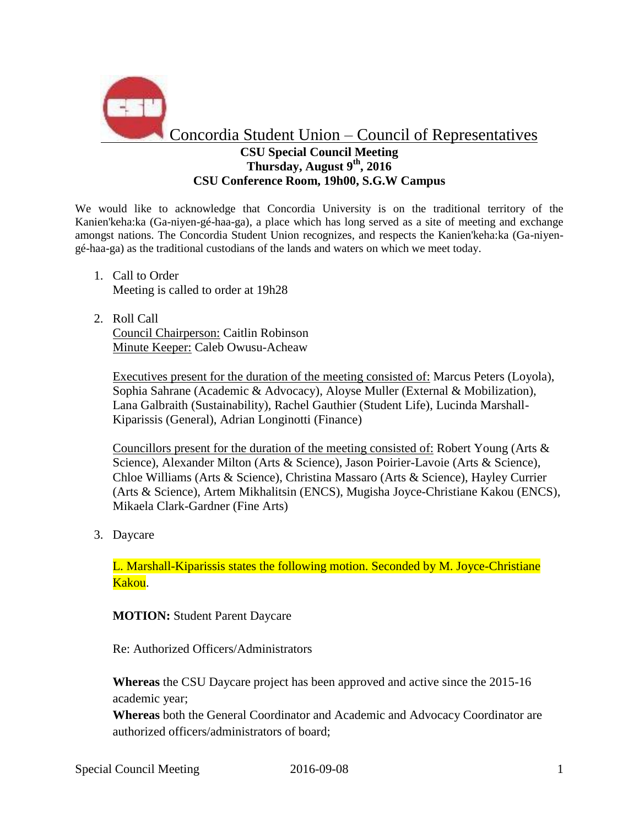

## **CSU Special Council Meeting Thursday, August 9 th, 2016 CSU Conference Room, 19h00, S.G.W Campus**

We would like to acknowledge that Concordia University is on the traditional territory of the Kanien'keha:ka (Ga-niyen-gé-haa-ga), a place which has long served as a site of meeting and exchange amongst nations. The Concordia Student Union recognizes, and respects the Kanien'keha:ka (Ga-niyengé-haa-ga) as the traditional custodians of the lands and waters on which we meet today.

- 1. Call to Order Meeting is called to order at 19h28
- 2. Roll Call Council Chairperson: Caitlin Robinson Minute Keeper: Caleb Owusu-Acheaw

Executives present for the duration of the meeting consisted of: Marcus Peters (Loyola), Sophia Sahrane (Academic & Advocacy), Aloyse Muller (External & Mobilization), Lana Galbraith (Sustainability), Rachel Gauthier (Student Life), Lucinda Marshall-Kiparissis (General), Adrian Longinotti (Finance)

Councillors present for the duration of the meeting consisted of: Robert Young (Arts & Science), Alexander Milton (Arts & Science), Jason Poirier-Lavoie (Arts & Science), Chloe Williams (Arts & Science), Christina Massaro (Arts & Science), Hayley Currier (Arts & Science), Artem Mikhalitsin (ENCS), Mugisha Joyce-Christiane Kakou (ENCS), Mikaela Clark-Gardner (Fine Arts)

3. Daycare

L. Marshall-Kiparissis states the following motion. Seconded by M. Joyce-Christiane Kakou.

## **MOTION:** Student Parent Daycare

Re: Authorized Officers/Administrators

**Whereas** the CSU Daycare project has been approved and active since the 2015-16 academic year;

**Whereas** both the General Coordinator and Academic and Advocacy Coordinator are authorized officers/administrators of board;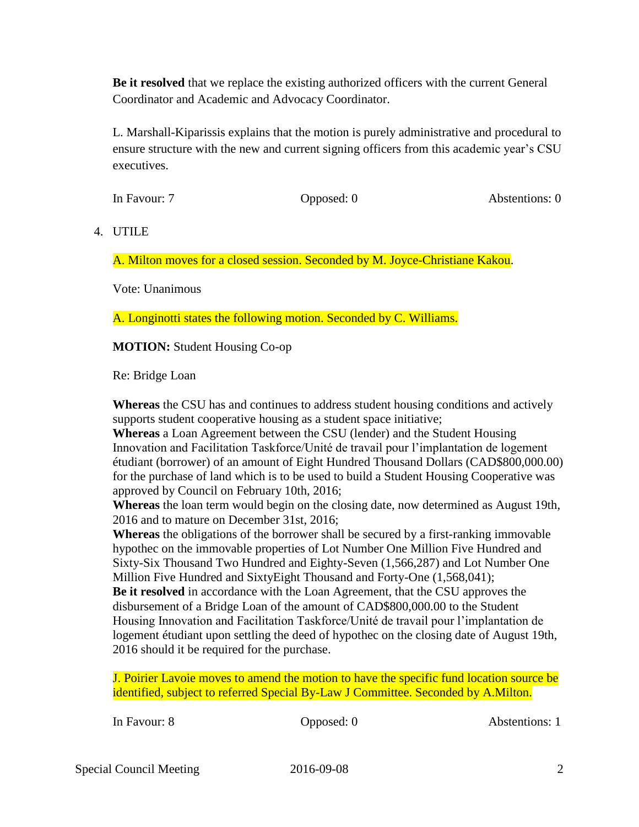**Be it resolved** that we replace the existing authorized officers with the current General Coordinator and Academic and Advocacy Coordinator.

L. Marshall-Kiparissis explains that the motion is purely administrative and procedural to ensure structure with the new and current signing officers from this academic year's CSU executives.

In Favour: 7 **Opposed: 0** Abstentions: 0

4. UTILE

A. Milton moves for a closed session. Seconded by M. Joyce-Christiane Kakou.

Vote: Unanimous

A. Longinotti states the following motion. Seconded by C. Williams.

**MOTION:** Student Housing Co-op

Re: Bridge Loan

**Whereas** the CSU has and continues to address student housing conditions and actively supports student cooperative housing as a student space initiative;

**Whereas** a Loan Agreement between the CSU (lender) and the Student Housing Innovation and Facilitation Taskforce/Unité de travail pour l'implantation de logement étudiant (borrower) of an amount of Eight Hundred Thousand Dollars (CAD\$800,000.00) for the purchase of land which is to be used to build a Student Housing Cooperative was approved by Council on February 10th, 2016;

**Whereas** the loan term would begin on the closing date, now determined as August 19th, 2016 and to mature on December 31st, 2016;

**Whereas** the obligations of the borrower shall be secured by a first-ranking immovable hypothec on the immovable properties of Lot Number One Million Five Hundred and Sixty-Six Thousand Two Hundred and Eighty-Seven (1,566,287) and Lot Number One Million Five Hundred and SixtyEight Thousand and Forty-One (1,568,041); **Be it resolved** in accordance with the Loan Agreement, that the CSU approves the disbursement of a Bridge Loan of the amount of CAD\$800,000.00 to the Student Housing Innovation and Facilitation Taskforce/Unité de travail pour l'implantation de logement étudiant upon settling the deed of hypothec on the closing date of August 19th, 2016 should it be required for the purchase.

J. Poirier Lavoie moves to amend the motion to have the specific fund location source be identified, subject to referred Special By-Law J Committee. Seconded by A.Milton.

In Favour: 8 Opposed: 0 Abstentions: 1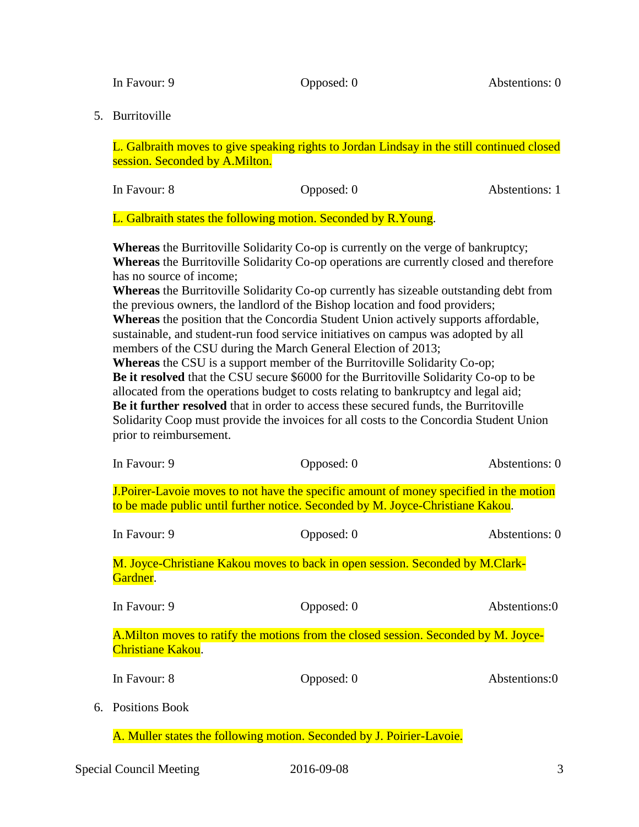In Favour: 9 Opposed: 0 Abstentions: 0

5. Burritoville

L. Galbraith moves to give speaking rights to Jordan Lindsay in the still continued closed session. Seconded by A.Milton.

| Abstentions: 1 |
|----------------|
| Opposed: 0     |

L. Galbraith states the following motion. Seconded by R.Young.

**Whereas** the Burritoville Solidarity Co-op is currently on the verge of bankruptcy; **Whereas** the Burritoville Solidarity Co-op operations are currently closed and therefore has no source of income;

**Whereas** the Burritoville Solidarity Co-op currently has sizeable outstanding debt from the previous owners, the landlord of the Bishop location and food providers; **Whereas** the position that the Concordia Student Union actively supports affordable, sustainable, and student-run food service initiatives on campus was adopted by all members of the CSU during the March General Election of 2013;

**Whereas** the CSU is a support member of the Burritoville Solidarity Co-op; **Be it resolved** that the CSU secure \$6000 for the Burritoville Solidarity Co-op to be allocated from the operations budget to costs relating to bankruptcy and legal aid; **Be it further resolved** that in order to access these secured funds, the Burritoville Solidarity Coop must provide the invoices for all costs to the Concordia Student Union prior to reimbursement.

| In Favour: 9      | Opposed: 0                                                                                                                                                                      | Abstentions: 0 |
|-------------------|---------------------------------------------------------------------------------------------------------------------------------------------------------------------------------|----------------|
|                   | <b>J.Poirer-Lavoie moves to not have the specific amount of money specified in the motion</b><br>to be made public until further notice. Seconded by M. Joyce-Christiane Kakou. |                |
| In Favour: 9      | Opposed: 0                                                                                                                                                                      | Abstentions: 0 |
| Gardner.          | M. Joyce-Christiane Kakou moves to back in open session. Seconded by M.Clark-                                                                                                   |                |
| In Favour: 9      | Opposed: 0                                                                                                                                                                      | Abstentions:0  |
| Christiane Kakou. | A. Milton moves to ratify the motions from the closed session. Seconded by M. Joyce-                                                                                            |                |
| In Favour: 8      | Opposed: 0                                                                                                                                                                      | Abstentions:0  |
| 6. Positions Book |                                                                                                                                                                                 |                |

A. Muller states the following motion. Seconded by J. Poirier-Lavoie.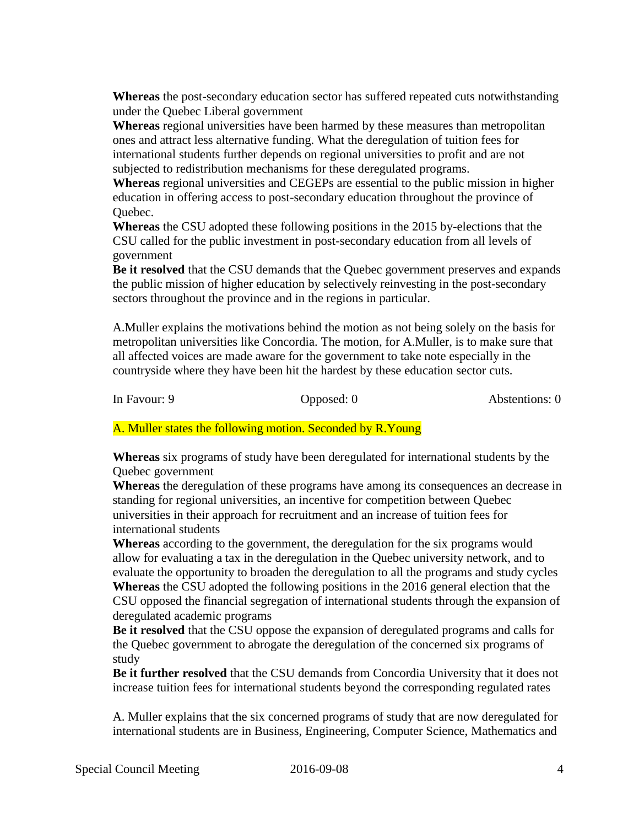**Whereas** the post-secondary education sector has suffered repeated cuts notwithstanding under the Quebec Liberal government

**Whereas** regional universities have been harmed by these measures than metropolitan ones and attract less alternative funding. What the deregulation of tuition fees for international students further depends on regional universities to profit and are not subjected to redistribution mechanisms for these deregulated programs.

**Whereas** regional universities and CEGEPs are essential to the public mission in higher education in offering access to post-secondary education throughout the province of Quebec.

**Whereas** the CSU adopted these following positions in the 2015 by-elections that the CSU called for the public investment in post-secondary education from all levels of government

**Be it resolved** that the CSU demands that the Quebec government preserves and expands the public mission of higher education by selectively reinvesting in the post-secondary sectors throughout the province and in the regions in particular.

A.Muller explains the motivations behind the motion as not being solely on the basis for metropolitan universities like Concordia. The motion, for A.Muller, is to make sure that all affected voices are made aware for the government to take note especially in the countryside where they have been hit the hardest by these education sector cuts.

In Favour: 9 Opposed: 0 Abstentions: 0

A. Muller states the following motion. Seconded by R.Young

**Whereas** six programs of study have been deregulated for international students by the Quebec government

**Whereas** the deregulation of these programs have among its consequences an decrease in standing for regional universities, an incentive for competition between Quebec universities in their approach for recruitment and an increase of tuition fees for international students

**Whereas** according to the government, the deregulation for the six programs would allow for evaluating a tax in the deregulation in the Quebec university network, and to evaluate the opportunity to broaden the deregulation to all the programs and study cycles **Whereas** the CSU adopted the following positions in the 2016 general election that the CSU opposed the financial segregation of international students through the expansion of deregulated academic programs

**Be it resolved** that the CSU oppose the expansion of deregulated programs and calls for the Quebec government to abrogate the deregulation of the concerned six programs of study

**Be it further resolved** that the CSU demands from Concordia University that it does not increase tuition fees for international students beyond the corresponding regulated rates

A. Muller explains that the six concerned programs of study that are now deregulated for international students are in Business, Engineering, Computer Science, Mathematics and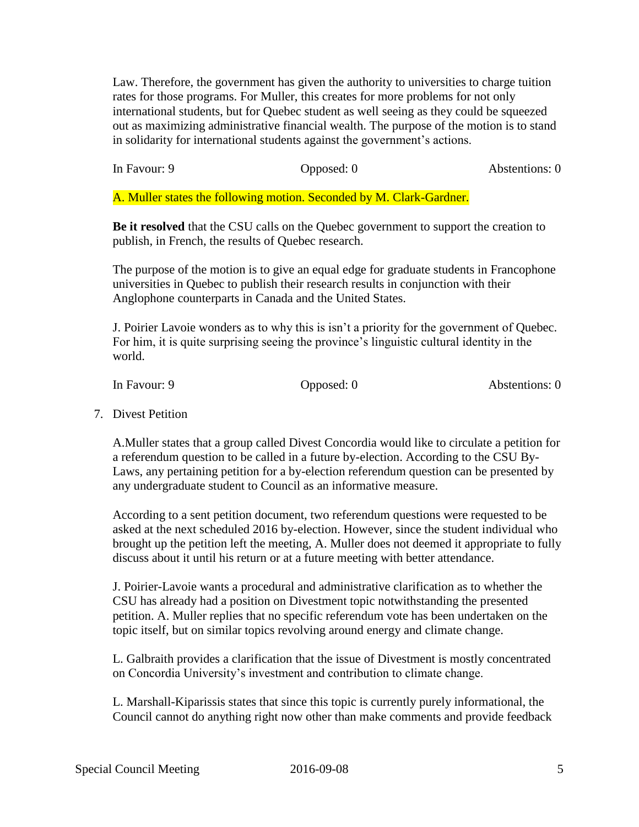Law. Therefore, the government has given the authority to universities to charge tuition rates for those programs. For Muller, this creates for more problems for not only international students, but for Quebec student as well seeing as they could be squeezed out as maximizing administrative financial wealth. The purpose of the motion is to stand in solidarity for international students against the government's actions.

In Favour: 9 Opposed: 0 Abstentions: 0

A. Muller states the following motion. Seconded by M. Clark-Gardner.

**Be it resolved** that the CSU calls on the Quebec government to support the creation to publish, in French, the results of Quebec research.

The purpose of the motion is to give an equal edge for graduate students in Francophone universities in Quebec to publish their research results in conjunction with their Anglophone counterparts in Canada and the United States.

J. Poirier Lavoie wonders as to why this is isn't a priority for the government of Quebec. For him, it is quite surprising seeing the province's linguistic cultural identity in the world.

In Favour: 9 Opposed: 0 Abstentions: 0

7. Divest Petition

A.Muller states that a group called Divest Concordia would like to circulate a petition for a referendum question to be called in a future by-election. According to the CSU By-Laws, any pertaining petition for a by-election referendum question can be presented by any undergraduate student to Council as an informative measure.

According to a sent petition document, two referendum questions were requested to be asked at the next scheduled 2016 by-election. However, since the student individual who brought up the petition left the meeting, A. Muller does not deemed it appropriate to fully discuss about it until his return or at a future meeting with better attendance.

J. Poirier-Lavoie wants a procedural and administrative clarification as to whether the CSU has already had a position on Divestment topic notwithstanding the presented petition. A. Muller replies that no specific referendum vote has been undertaken on the topic itself, but on similar topics revolving around energy and climate change.

L. Galbraith provides a clarification that the issue of Divestment is mostly concentrated on Concordia University's investment and contribution to climate change.

L. Marshall-Kiparissis states that since this topic is currently purely informational, the Council cannot do anything right now other than make comments and provide feedback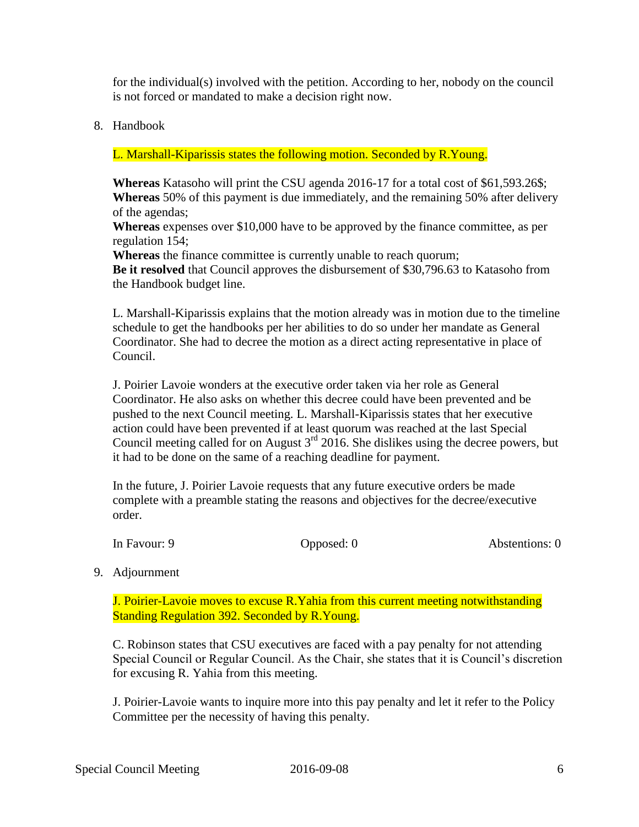for the individual(s) involved with the petition. According to her, nobody on the council is not forced or mandated to make a decision right now.

8. Handbook

L. Marshall-Kiparissis states the following motion. Seconded by R.Young.

**Whereas** Katasoho will print the CSU agenda 2016-17 for a total cost of \$61,593.26\$; **Whereas** 50% of this payment is due immediately, and the remaining 50% after delivery of the agendas;

**Whereas** expenses over \$10,000 have to be approved by the finance committee, as per regulation 154;

**Whereas** the finance committee is currently unable to reach quorum;

**Be it resolved** that Council approves the disbursement of \$30,796.63 to Katasoho from the Handbook budget line.

L. Marshall-Kiparissis explains that the motion already was in motion due to the timeline schedule to get the handbooks per her abilities to do so under her mandate as General Coordinator. She had to decree the motion as a direct acting representative in place of Council.

J. Poirier Lavoie wonders at the executive order taken via her role as General Coordinator. He also asks on whether this decree could have been prevented and be pushed to the next Council meeting. L. Marshall-Kiparissis states that her executive action could have been prevented if at least quorum was reached at the last Special Council meeting called for on August  $3<sup>rd</sup>$  2016. She dislikes using the decree powers, but it had to be done on the same of a reaching deadline for payment.

In the future, J. Poirier Lavoie requests that any future executive orders be made complete with a preamble stating the reasons and objectives for the decree/executive order.

In Favour: 9 Opposed: 0 Abstentions: 0

9. Adjournment

J. Poirier-Lavoie moves to excuse R.Yahia from this current meeting notwithstanding Standing Regulation 392. Seconded by R.Young.

C. Robinson states that CSU executives are faced with a pay penalty for not attending Special Council or Regular Council. As the Chair, she states that it is Council's discretion for excusing R. Yahia from this meeting.

J. Poirier-Lavoie wants to inquire more into this pay penalty and let it refer to the Policy Committee per the necessity of having this penalty.